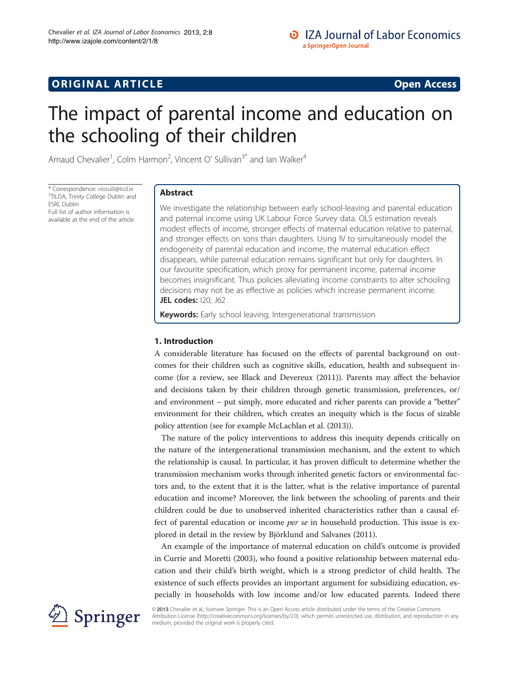## **ORIGINAL ARTICLE CONSERVANCE CONSERVANCE CONSERVANCE CONSERVANCE CONSERVANCE CONSERVANCE CONSERVANCE CONSERVANCE**

# The impact of parental income and education on the schooling of their children

Arnaud Chevalier<sup>1</sup>, Colm Harmon<sup>2</sup>, Vincent O' Sullivan<sup>3\*</sup> and Ian Walker<sup>4</sup>

\* Correspondence: [viosulli@tcd.ie](mailto:viosulli@tcd.ie) <sup>3</sup> <sup>3</sup>TILDA, Trinity College Dublin and ESRI, Dublin Full list of author information is available at the end of the article

#### Abstract

We investigate the relationship between early school-leaving and parental education and paternal income using UK Labour Force Survey data. OLS estimation reveals modest effects of income, stronger effects of maternal education relative to paternal, and stronger effects on sons than daughters. Using IV to simultaneously model the endogeneity of parental education and income, the maternal education effect disappears, while paternal education remains significant but only for daughters. In our favourite specification, which proxy for permanent income, paternal income becomes insignificant. Thus policies alleviating income constraints to alter schooling decisions may not be as effective as policies which increase permanent income. JEL codes: 120; J62

**Keywords:** Early school leaving; Intergenerational transmission

#### 1. Introduction

A considerable literature has focused on the effects of parental background on outcomes for their children such as cognitive skills, education, health and subsequent income (for a review, see Black and Devereux [\(2011](#page-20-0))). Parents may affect the behavior and decisions taken by their children through genetic transmission, preferences, or/ and environment – put simply, more educated and richer parents can provide a "better" environment for their children, which creates an inequity which is the focus of sizable policy attention (see for example McLachlan et al. ([2013](#page-21-0))).

The nature of the policy interventions to address this inequity depends critically on the nature of the intergenerational transmission mechanism, and the extent to which the relationship is causal. In particular, it has proven difficult to determine whether the transmission mechanism works through inherited genetic factors or environmental factors and, to the extent that it is the latter, what is the relative importance of parental education and income? Moreover, the link between the schooling of parents and their children could be due to unobserved inherited characteristics rather than a causal effect of parental education or income per se in household production. This issue is explored in detail in the review by Björklund and Salvanes ([2011](#page-20-0)).

An example of the importance of maternal education on child's outcome is provided in Currie and Moretti [\(2003\)](#page-20-0), who found a positive relationship between maternal education and their child's birth weight, which is a strong predictor of child health. The existence of such effects provides an important argument for subsidizing education, especially in households with low income and/or low educated parents. Indeed there



© 2013 Chevalier et al.; licensee Springer. This is an Open Access article distributed under the terms of the Creative Commons Attribution License [\(http://creativecommons.org/licenses/by/2.0\)](http://creativecommons.org/licenses/by/2.0), which permits unrestricted use, distribution, and reproduction in any medium, provided the original work is properly cited.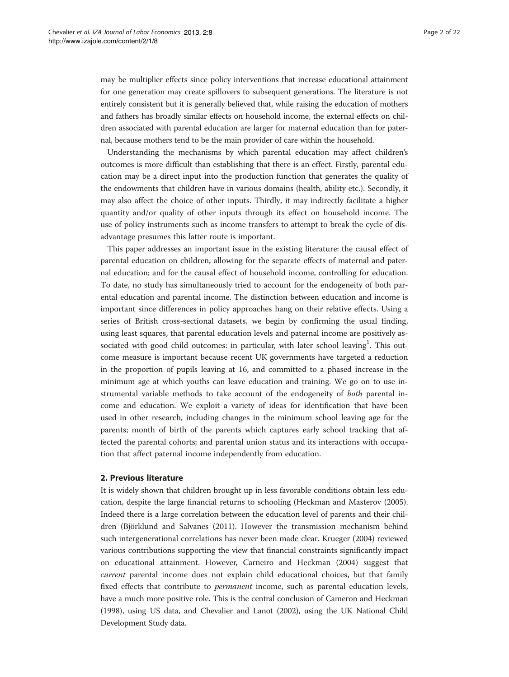may be multiplier effects since policy interventions that increase educational attainment for one generation may create spillovers to subsequent generations. The literature is not entirely consistent but it is generally believed that, while raising the education of mothers and fathers has broadly similar effects on household income, the external effects on children associated with parental education are larger for maternal education than for paternal, because mothers tend to be the main provider of care within the household.

Understanding the mechanisms by which parental education may affect children's outcomes is more difficult than establishing that there is an effect. Firstly, parental education may be a direct input into the production function that generates the quality of the endowments that children have in various domains (health, ability etc.). Secondly, it may also affect the choice of other inputs. Thirdly, it may indirectly facilitate a higher quantity and/or quality of other inputs through its effect on household income. The use of policy instruments such as income transfers to attempt to break the cycle of disadvantage presumes this latter route is important.

This paper addresses an important issue in the existing literature: the causal effect of parental education on children, allowing for the separate effects of maternal and paternal education; and for the causal effect of household income, controlling for education. To date, no study has simultaneously tried to account for the endogeneity of both parental education and parental income. The distinction between education and income is important since differences in policy approaches hang on their relative effects. Using a series of British cross-sectional datasets, we begin by confirming the usual finding, using least squares, that parental education levels and paternal income are positively associated with good child outcomes: in particular, with later school leaving<sup>1</sup>. This outcome measure is important because recent UK governments have targeted a reduction in the proportion of pupils leaving at 16, and committed to a phased increase in the minimum age at which youths can leave education and training. We go on to use instrumental variable methods to take account of the endogeneity of both parental income and education. We exploit a variety of ideas for identification that have been used in other research, including changes in the minimum school leaving age for the parents; month of birth of the parents which captures early school tracking that affected the parental cohorts; and parental union status and its interactions with occupation that affect paternal income independently from education.

#### 2. Previous literature

It is widely shown that children brought up in less favorable conditions obtain less education, despite the large financial returns to schooling (Heckman and Masterov ([2005](#page-20-0)). Indeed there is a large correlation between the education level of parents and their children (Björklund and Salvanes [\(2011\)](#page-20-0). However the transmission mechanism behind such intergenerational correlations has never been made clear. Krueger ([2004](#page-21-0)) reviewed various contributions supporting the view that financial constraints significantly impact on educational attainment. However, Carneiro and Heckman ([2004](#page-20-0)) suggest that current parental income does not explain child educational choices, but that family fixed effects that contribute to permanent income, such as parental education levels, have a much more positive role. This is the central conclusion of Cameron and Heckman ([1998\)](#page-20-0), using US data, and Chevalier and Lanot [\(2002](#page-20-0)), using the UK National Child Development Study data.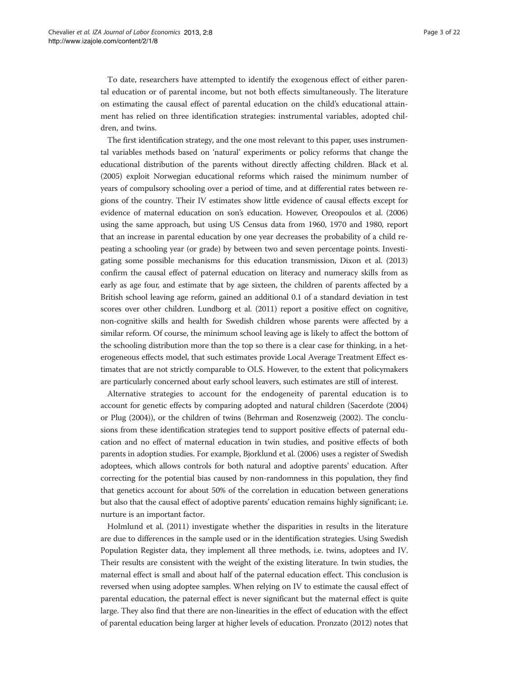To date, researchers have attempted to identify the exogenous effect of either parental education or of parental income, but not both effects simultaneously. The literature on estimating the causal effect of parental education on the child's educational attainment has relied on three identification strategies: instrumental variables, adopted children, and twins.

The first identification strategy, and the one most relevant to this paper, uses instrumental variables methods based on 'natural' experiments or policy reforms that change the educational distribution of the parents without directly affecting children. Black et al. ([2005\)](#page-20-0) exploit Norwegian educational reforms which raised the minimum number of years of compulsory schooling over a period of time, and at differential rates between regions of the country. Their IV estimates show little evidence of causal effects except for evidence of maternal education on son's education. However, Oreopoulos et al. [\(2006](#page-21-0)) using the same approach, but using US Census data from 1960, 1970 and 1980, report that an increase in parental education by one year decreases the probability of a child repeating a schooling year (or grade) by between two and seven percentage points. Investigating some possible mechanisms for this education transmission, Dixon et al. [\(2013](#page-20-0)) confirm the causal effect of paternal education on literacy and numeracy skills from as early as age four, and estimate that by age sixteen, the children of parents affected by a British school leaving age reform, gained an additional 0.1 of a standard deviation in test scores over other children. Lundborg et al. ([2011](#page-21-0)) report a positive effect on cognitive, non-cognitive skills and health for Swedish children whose parents were affected by a similar reform. Of course, the minimum school leaving age is likely to affect the bottom of the schooling distribution more than the top so there is a clear case for thinking, in a heterogeneous effects model, that such estimates provide Local Average Treatment Effect estimates that are not strictly comparable to OLS. However, to the extent that policymakers are particularly concerned about early school leavers, such estimates are still of interest.

Alternative strategies to account for the endogeneity of parental education is to account for genetic effects by comparing adopted and natural children (Sacerdote [\(2004](#page-21-0)) or Plug [\(2004](#page-21-0))), or the children of twins (Behrman and Rosenzweig [\(2002](#page-20-0)). The conclusions from these identification strategies tend to support positive effects of paternal education and no effect of maternal education in twin studies, and positive effects of both parents in adoption studies. For example, Bjorklund et al. [\(2006](#page-20-0)) uses a register of Swedish adoptees, which allows controls for both natural and adoptive parents' education. After correcting for the potential bias caused by non-randomness in this population, they find that genetics account for about 50% of the correlation in education between generations but also that the causal effect of adoptive parents' education remains highly significant; i.e. nurture is an important factor.

Holmlund et al. [\(2011](#page-20-0)) investigate whether the disparities in results in the literature are due to differences in the sample used or in the identification strategies. Using Swedish Population Register data, they implement all three methods, i.e. twins, adoptees and IV. Their results are consistent with the weight of the existing literature. In twin studies, the maternal effect is small and about half of the paternal education effect. This conclusion is reversed when using adoptee samples. When relying on IV to estimate the causal effect of parental education, the paternal effect is never significant but the maternal effect is quite large. They also find that there are non-linearities in the effect of education with the effect of parental education being larger at higher levels of education. Pronzato ([2012](#page-21-0)) notes that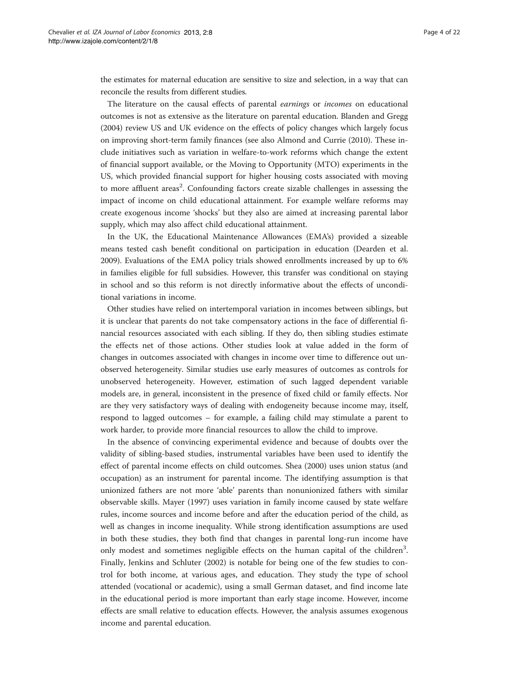the estimates for maternal education are sensitive to size and selection, in a way that can reconcile the results from different studies.

The literature on the causal effects of parental earnings or incomes on educational outcomes is not as extensive as the literature on parental education. Blanden and Gregg ([2004](#page-20-0)) review US and UK evidence on the effects of policy changes which largely focus on improving short-term family finances (see also Almond and Currie ([2010\)](#page-20-0). These include initiatives such as variation in welfare-to-work reforms which change the extent of financial support available, or the Moving to Opportunity (MTO) experiments in the US, which provided financial support for higher housing costs associated with moving to more affluent areas<sup>2</sup>. Confounding factors create sizable challenges in assessing the impact of income on child educational attainment. For example welfare reforms may create exogenous income 'shocks' but they also are aimed at increasing parental labor supply, which may also affect child educational attainment.

In the UK, the Educational Maintenance Allowances (EMA's) provided a sizeable means tested cash benefit conditional on participation in education (Dearden et al. [2009](#page-20-0)). Evaluations of the EMA policy trials showed enrollments increased by up to 6% in families eligible for full subsidies. However, this transfer was conditional on staying in school and so this reform is not directly informative about the effects of unconditional variations in income.

Other studies have relied on intertemporal variation in incomes between siblings, but it is unclear that parents do not take compensatory actions in the face of differential financial resources associated with each sibling. If they do, then sibling studies estimate the effects net of those actions. Other studies look at value added in the form of changes in outcomes associated with changes in income over time to difference out unobserved heterogeneity. Similar studies use early measures of outcomes as controls for unobserved heterogeneity. However, estimation of such lagged dependent variable models are, in general, inconsistent in the presence of fixed child or family effects. Nor are they very satisfactory ways of dealing with endogeneity because income may, itself, respond to lagged outcomes – for example, a failing child may stimulate a parent to work harder, to provide more financial resources to allow the child to improve.

In the absence of convincing experimental evidence and because of doubts over the validity of sibling-based studies, instrumental variables have been used to identify the effect of parental income effects on child outcomes. Shea [\(2000](#page-21-0)) uses union status (and occupation) as an instrument for parental income. The identifying assumption is that unionized fathers are not more 'able' parents than nonunionized fathers with similar observable skills. Mayer ([1997](#page-21-0)) uses variation in family income caused by state welfare rules, income sources and income before and after the education period of the child, as well as changes in income inequality. While strong identification assumptions are used in both these studies, they both find that changes in parental long-run income have only modest and sometimes negligible effects on the human capital of the children<sup>3</sup>. Finally, Jenkins and Schluter [\(2002\)](#page-21-0) is notable for being one of the few studies to control for both income, at various ages, and education. They study the type of school attended (vocational or academic), using a small German dataset, and find income late in the educational period is more important than early stage income. However, income effects are small relative to education effects. However, the analysis assumes exogenous income and parental education.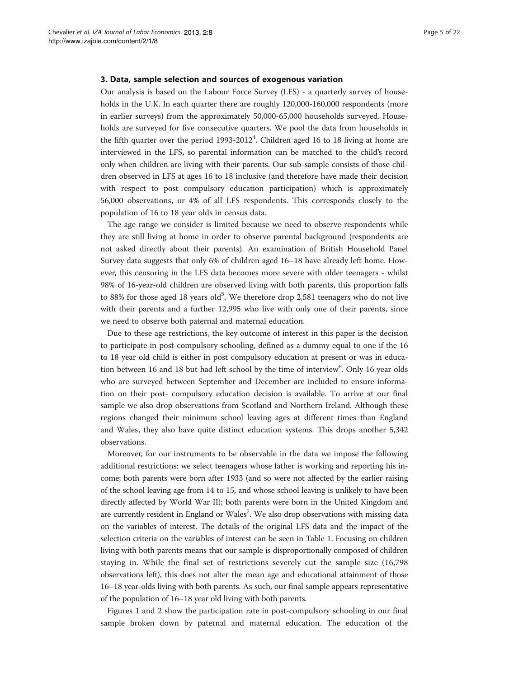#### 3. Data, sample selection and sources of exogenous variation

Our analysis is based on the Labour Force Survey (LFS) - a quarterly survey of households in the U.K. In each quarter there are roughly 120,000-160,000 respondents (more in earlier surveys) from the approximately 50,000-65,000 households surveyed. Households are surveyed for five consecutive quarters. We pool the data from households in the fifth quarter over the period 1993-2012<sup>4</sup>. Children aged 16 to 18 living at home are interviewed in the LFS, so parental information can be matched to the child's record only when children are living with their parents. Our sub-sample consists of those children observed in LFS at ages 16 to 18 inclusive (and therefore have made their decision with respect to post compulsory education participation) which is approximately 56,000 observations, or 4% of all LFS respondents. This corresponds closely to the population of 16 to 18 year olds in census data.

The age range we consider is limited because we need to observe respondents while they are still living at home in order to observe parental background (respondents are not asked directly about their parents). An examination of British Household Panel Survey data suggests that only 6% of children aged 16–18 have already left home. However, this censoring in the LFS data becomes more severe with older teenagers - whilst 98% of 16-year-old children are observed living with both parents, this proportion falls to 88% for those aged 18 years old<sup>5</sup>. We therefore drop 2,581 teenagers who do not live with their parents and a further 12,995 who live with only one of their parents, since we need to observe both paternal and maternal education.

Due to these age restrictions, the key outcome of interest in this paper is the decision to participate in post-compulsory schooling, defined as a dummy equal to one if the 16 to 18 year old child is either in post compulsory education at present or was in education between 16 and 18 but had left school by the time of interview<sup>6</sup>. Only 16 year olds who are surveyed between September and December are included to ensure information on their post- compulsory education decision is available. To arrive at our final sample we also drop observations from Scotland and Northern Ireland. Although these regions changed their minimum school leaving ages at different times than England and Wales, they also have quite distinct education systems. This drops another 5,342 observations.

Moreover, for our instruments to be observable in the data we impose the following additional restrictions: we select teenagers whose father is working and reporting his income; both parents were born after 1933 (and so were not affected by the earlier raising of the school leaving age from 14 to 15, and whose school leaving is unlikely to have been directly affected by World War II); both parents were born in the United Kingdom and are currently resident in England or Wales $^7$ . We also drop observations with missing data on the variables of interest. The details of the original LFS data and the impact of the selection criteria on the variables of interest can be seen in Table [1.](#page-5-0) Focusing on children living with both parents means that our sample is disproportionally composed of children staying in. While the final set of restrictions severely cut the sample size (16,798 observations left), this does not alter the mean age and educational attainment of those 16–18 year-olds living with both parents. As such, our final sample appears representative of the population of 16–18 year old living with both parents.

Figures [1](#page-5-0) and [2](#page-6-0) show the participation rate in post-compulsory schooling in our final sample broken down by paternal and maternal education. The education of the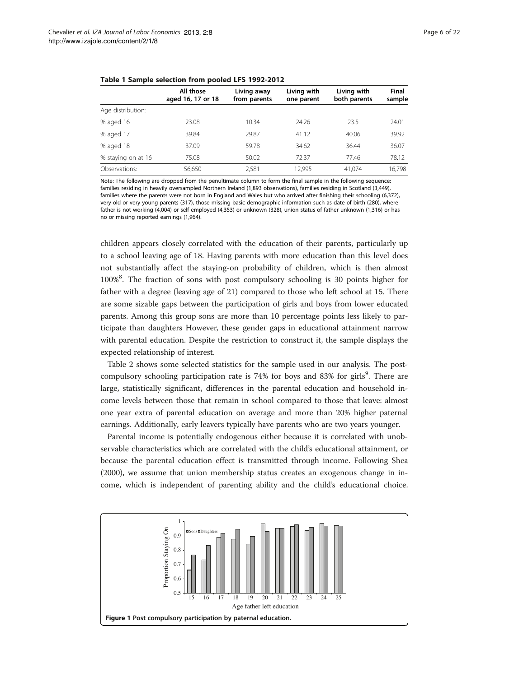<span id="page-5-0"></span>

|  |  |  | Table 1 Sample selection from pooled LFS 1992-2012 |
|--|--|--|----------------------------------------------------|
|--|--|--|----------------------------------------------------|

|                    | All those<br>aged 16, 17 or 18 | Living away<br>from parents | Living with<br>one parent | Living with<br>both parents | Final<br>sample |
|--------------------|--------------------------------|-----------------------------|---------------------------|-----------------------------|-----------------|
| Age distribution:  |                                |                             |                           |                             |                 |
| % aged 16          | 23.08                          | 10.34                       | 24.26                     | 23.5                        | 24.01           |
| % aged 17          | 39.84                          | 29.87                       | 41.12                     | 40.06                       | 39.92           |
| % aged 18          | 37.09                          | 59.78                       | 34.62                     | 36.44                       | 36.07           |
| % staying on at 16 | 75.08                          | 50.02                       | 72.37                     | 77.46                       | 78.12           |
| Observations:      | 56,650                         | 2,581                       | 12.995                    | 41.074                      | 16,798          |

Note: The following are dropped from the penultimate column to form the final sample in the following sequence: families residing in heavily oversampled Northern Ireland (1,893 observations), families residing in Scotland (3,449), families where the parents were not born in England and Wales but who arrived after finishing their schooling (6,372), very old or very young parents (317), those missing basic demographic information such as date of birth (280), where father is not working (4,004) or self employed (4,353) or unknown (328), union status of father unknown (1,316) or has no or missing reported earnings (1,964).

children appears closely correlated with the education of their parents, particularly up to a school leaving age of 18. Having parents with more education than this level does not substantially affect the staying-on probability of children, which is then almost 100%<sup>8</sup>. The fraction of sons with post compulsory schooling is 30 points higher for father with a degree (leaving age of 21) compared to those who left school at 15. There are some sizable gaps between the participation of girls and boys from lower educated parents. Among this group sons are more than 10 percentage points less likely to participate than daughters However, these gender gaps in educational attainment narrow with parental education. Despite the restriction to construct it, the sample displays the expected relationship of interest.

Table [2](#page-7-0) shows some selected statistics for the sample used in our analysis. The postcompulsory schooling participation rate is 74% for boys and 83% for girls<sup>9</sup>. There are large, statistically significant, differences in the parental education and household income levels between those that remain in school compared to those that leave: almost one year extra of parental education on average and more than 20% higher paternal earnings. Additionally, early leavers typically have parents who are two years younger.

Parental income is potentially endogenous either because it is correlated with unobservable characteristics which are correlated with the child's educational attainment, or because the parental education effect is transmitted through income. Following Shea ([2000](#page-21-0)), we assume that union membership status creates an exogenous change in income, which is independent of parenting ability and the child's educational choice.

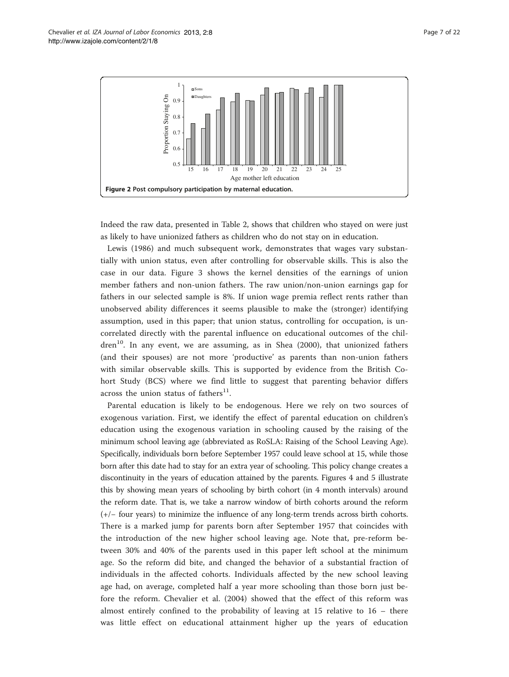<span id="page-6-0"></span>

Indeed the raw data, presented in Table [2](#page-7-0), shows that children who stayed on were just as likely to have unionized fathers as children who do not stay on in education.

Lewis ([1986\)](#page-21-0) and much subsequent work, demonstrates that wages vary substantially with union status, even after controlling for observable skills. This is also the case in our data. Figure [3](#page-8-0) shows the kernel densities of the earnings of union member fathers and non-union fathers. The raw union/non-union earnings gap for fathers in our selected sample is 8%. If union wage premia reflect rents rather than unobserved ability differences it seems plausible to make the (stronger) identifying assumption, used in this paper; that union status, controlling for occupation, is uncorrelated directly with the parental influence on educational outcomes of the chil-dren<sup>10</sup>. In any event, we are assuming, as in Shea ([2000](#page-21-0)), that unionized fathers (and their spouses) are not more 'productive' as parents than non-union fathers with similar observable skills. This is supported by evidence from the British Cohort Study (BCS) where we find little to suggest that parenting behavior differs across the union status of fathers $^{11}$ .

Parental education is likely to be endogenous. Here we rely on two sources of exogenous variation. First, we identify the effect of parental education on children's education using the exogenous variation in schooling caused by the raising of the minimum school leaving age (abbreviated as RoSLA: Raising of the School Leaving Age). Specifically, individuals born before September 1957 could leave school at 15, while those born after this date had to stay for an extra year of schooling. This policy change creates a discontinuity in the years of education attained by the parents. Figures [4](#page-8-0) and [5](#page-9-0) illustrate this by showing mean years of schooling by birth cohort (in 4 month intervals) around the reform date. That is, we take a narrow window of birth cohorts around the reform (+/− four years) to minimize the influence of any long-term trends across birth cohorts. There is a marked jump for parents born after September 1957 that coincides with the introduction of the new higher school leaving age. Note that, pre-reform between 30% and 40% of the parents used in this paper left school at the minimum age. So the reform did bite, and changed the behavior of a substantial fraction of individuals in the affected cohorts. Individuals affected by the new school leaving age had, on average, completed half a year more schooling than those born just before the reform. Chevalier et al. ([2004\)](#page-20-0) showed that the effect of this reform was almost entirely confined to the probability of leaving at 15 relative to  $16 -$  there was little effect on educational attainment higher up the years of education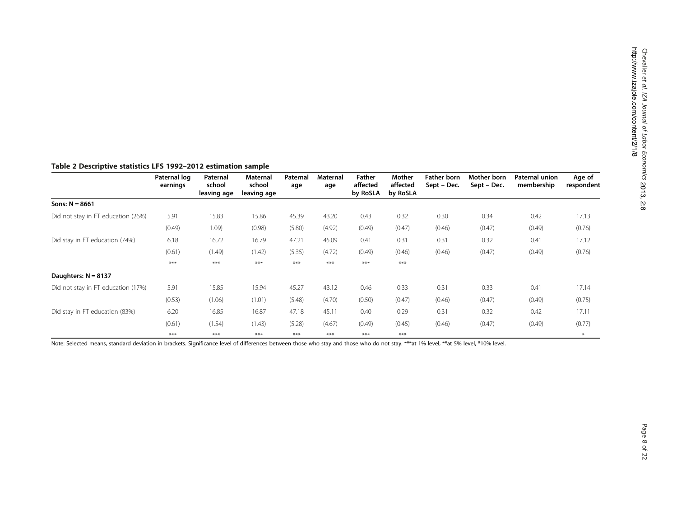#### <span id="page-7-0"></span>Table 2 Descriptive statistics LFS 1992–2012 estimation sample

|                                    | Paternal log<br>earnings | Paternal<br>school<br>leaving age | <b>Maternal</b><br>school<br>leaving age | Paternal<br>age | Maternal<br>age | Father<br>affected<br>by RoSLA | Mother<br>affected<br>by RoSLA | <b>Father born</b><br>Sept - Dec. | Mother born<br>Sept - Dec. | Paternal union<br>membership | Age of<br>respondent |
|------------------------------------|--------------------------|-----------------------------------|------------------------------------------|-----------------|-----------------|--------------------------------|--------------------------------|-----------------------------------|----------------------------|------------------------------|----------------------|
| Sons: $N = 8661$                   |                          |                                   |                                          |                 |                 |                                |                                |                                   |                            |                              |                      |
| Did not stay in FT education (26%) | 5.91                     | 15.83                             | 15.86                                    | 45.39           | 43.20           | 0.43                           | 0.32                           | 0.30                              | 0.34                       | 0.42                         | 17.13                |
|                                    | (0.49)                   | 1.09)                             | (0.98)                                   | (5.80)          | (4.92)          | (0.49)                         | (0.47)                         | (0.46)                            | (0.47)                     | (0.49)                       | (0.76)               |
| Did stay in FT education (74%)     | 6.18                     | 16.72                             | 16.79                                    | 47.21           | 45.09           | 0.41                           | 0.31                           | 0.31                              | 0.32                       | 0.41                         | 17.12                |
|                                    | (0.61)                   | (1.49)                            | (1.42)                                   | (5.35)          | (4.72)          | (0.49)                         | (0.46)                         | (0.46)                            | (0.47)                     | (0.49)                       | (0.76)               |
|                                    | $***$                    | $***$                             | $***$                                    | $***$           | $***$           | $***$                          | $***$                          |                                   |                            |                              |                      |
| Daughters: $N = 8137$              |                          |                                   |                                          |                 |                 |                                |                                |                                   |                            |                              |                      |
| Did not stay in FT education (17%) | 5.91                     | 15.85                             | 15.94                                    | 45.27           | 43.12           | 0.46                           | 0.33                           | 0.31                              | 0.33                       | 0.41                         | 17.14                |
|                                    | (0.53)                   | (1.06)                            | (1.01)                                   | (5.48)          | (4.70)          | (0.50)                         | (0.47)                         | (0.46)                            | (0.47)                     | (0.49)                       | (0.75)               |
| Did stay in FT education (83%)     | 6.20                     | 16.85                             | 16.87                                    | 47.18           | 45.11           | 0.40                           | 0.29                           | 0.31                              | 0.32                       | 0.42                         | 17.11                |
|                                    | (0.61)                   | (1.54)                            | (1.43)                                   | (5.28)          | (4.67)          | (0.49)                         | (0.45)                         | (0.46)                            | (0.47)                     | (0.49)                       | (0.77)               |
|                                    | $***$                    | $***$                             | $***$                                    | $***$           | ***             | $***$                          | $***$                          |                                   |                            |                              | $*$                  |

Note: Selected means, standard deviation in brackets. Significance level of differences between those who stay and those who do not stay. \*\*\*at 1% level, \*\*at 5% level, \*10% level.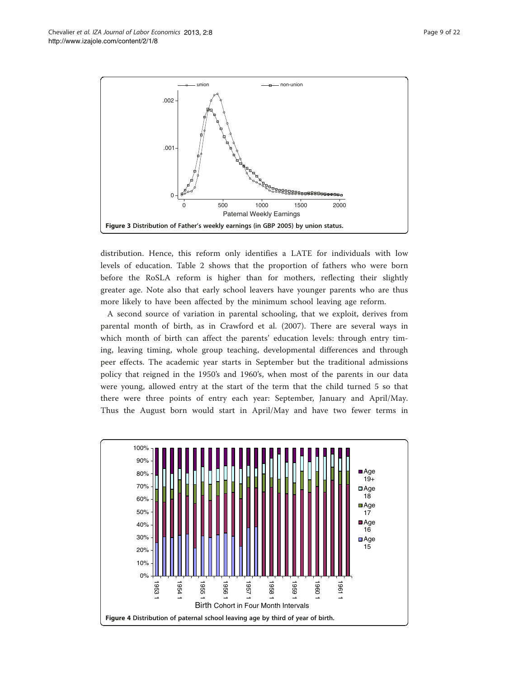<span id="page-8-0"></span>

distribution. Hence, this reform only identifies a LATE for individuals with low levels of education. Table [2](#page-7-0) shows that the proportion of fathers who were born before the RoSLA reform is higher than for mothers, reflecting their slightly greater age. Note also that early school leavers have younger parents who are thus more likely to have been affected by the minimum school leaving age reform.

A second source of variation in parental schooling, that we exploit, derives from parental month of birth, as in Crawford et al. ([2007\)](#page-20-0). There are several ways in which month of birth can affect the parents' education levels: through entry timing, leaving timing, whole group teaching, developmental differences and through peer effects. The academic year starts in September but the traditional admissions policy that reigned in the 1950's and 1960's, when most of the parents in our data were young, allowed entry at the start of the term that the child turned 5 so that there were three points of entry each year: September, January and April/May. Thus the August born would start in April/May and have two fewer terms in

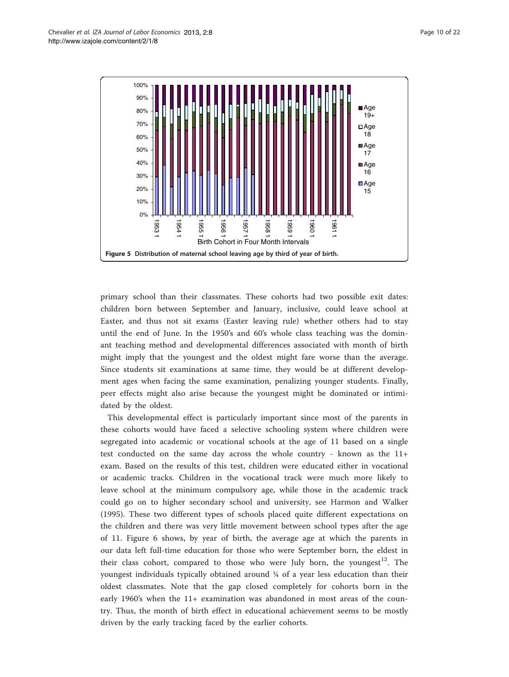<span id="page-9-0"></span>

primary school than their classmates. These cohorts had two possible exit dates: children born between September and January, inclusive, could leave school at Easter, and thus not sit exams (Easter leaving rule) whether others had to stay until the end of June. In the 1950's and 60's whole class teaching was the dominant teaching method and developmental differences associated with month of birth might imply that the youngest and the oldest might fare worse than the average. Since students sit examinations at same time, they would be at different development ages when facing the same examination, penalizing younger students. Finally, peer effects might also arise because the youngest might be dominated or intimidated by the oldest.

This developmental effect is particularly important since most of the parents in these cohorts would have faced a selective schooling system where children were segregated into academic or vocational schools at the age of 11 based on a single test conducted on the same day across the whole country - known as the 11+ exam. Based on the results of this test, children were educated either in vocational or academic tracks. Children in the vocational track were much more likely to leave school at the minimum compulsory age, while those in the academic track could go on to higher secondary school and university, see Harmon and Walker ([1995\)](#page-20-0). These two different types of schools placed quite different expectations on the children and there was very little movement between school types after the age of 11. Figure [6](#page-10-0) shows, by year of birth, the average age at which the parents in our data left full-time education for those who were September born, the eldest in their class cohort, compared to those who were July born, the youngest<sup>12</sup>. The youngest individuals typically obtained around ¼ of a year less education than their oldest classmates. Note that the gap closed completely for cohorts born in the early 1960's when the 11+ examination was abandoned in most areas of the country. Thus, the month of birth effect in educational achievement seems to be mostly driven by the early tracking faced by the earlier cohorts.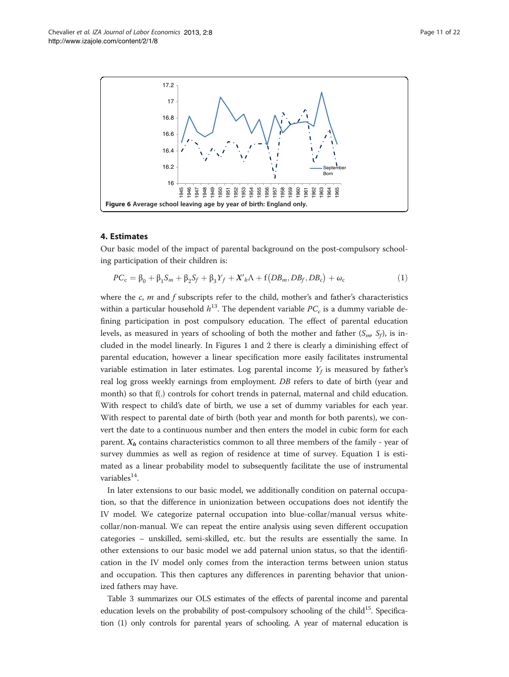<span id="page-10-0"></span>Chevalier et al. IZA Journal of Labor Economics 2013. 2:8 Page 11 of 22 <http://www.izajole.com/content/2/1/8>



#### 4. Estimates

Our basic model of the impact of parental background on the post-compulsory schooling participation of their children is:

$$
PC_c = \beta_0 + \beta_1 S_m + \beta_2 S_f + \beta_3 Y_f + X'_h \Lambda + f\big(DB_m, DB_f, DB_c\big) + \omega_c \tag{1}
$$

where the  $c$ ,  $m$  and  $f$  subscripts refer to the child, mother's and father's characteristics within a particular household  $h^{13}$ . The dependent variable  $PC_c$  is a dummy variable defining participation in post compulsory education. The effect of parental education levels, as measured in years of schooling of both the mother and father  $(S_{nn}, S_f)$ , is included in the model linearly. In Figures [1](#page-5-0) and [2](#page-6-0) there is clearly a diminishing effect of parental education, however a linear specification more easily facilitates instrumental variable estimation in later estimates. Log parental income  $Y_f$  is measured by father's real log gross weekly earnings from employment. DB refers to date of birth (year and month) so that f(.) controls for cohort trends in paternal, maternal and child education. With respect to child's date of birth, we use a set of dummy variables for each year. With respect to parental date of birth (both year and month for both parents), we convert the date to a continuous number and then enters the model in cubic form for each parent.  $X_h$  contains characteristics common to all three members of the family - year of survey dummies as well as region of residence at time of survey. Equation 1 is estimated as a linear probability model to subsequently facilitate the use of instrumental variables $^{14}$ .

In later extensions to our basic model, we additionally condition on paternal occupation, so that the difference in unionization between occupations does not identify the IV model. We categorize paternal occupation into blue-collar/manual versus whitecollar/non-manual. We can repeat the entire analysis using seven different occupation categories – unskilled, semi-skilled, etc. but the results are essentially the same. In other extensions to our basic model we add paternal union status, so that the identification in the IV model only comes from the interaction terms between union status and occupation. This then captures any differences in parenting behavior that unionized fathers may have.

Table [3](#page-11-0) summarizes our OLS estimates of the effects of parental income and parental education levels on the probability of post-compulsory schooling of the child<sup>15</sup>. Specification (1) only controls for parental years of schooling. A year of maternal education is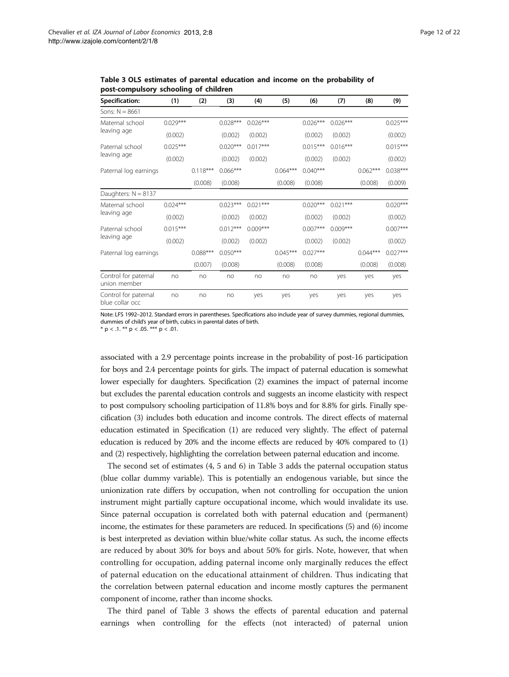| <b>Specification:</b>                   | (1)        | (2)        | (3)        | (4)        | (5)        | (6)        | (7)        | (8)        | (9)        |
|-----------------------------------------|------------|------------|------------|------------|------------|------------|------------|------------|------------|
| Sons: $N = 8661$                        |            |            |            |            |            |            |            |            |            |
| Maternal school                         | $0.029***$ |            | $0.028***$ | $0.026***$ |            | $0.026***$ | $0.026***$ |            | $0.025***$ |
| leaving age                             | (0.002)    |            | (0.002)    | (0.002)    |            | (0.002)    | (0.002)    |            | (0.002)    |
| Paternal school                         | $0.025***$ |            | $0.020***$ | $0.017***$ |            | $0.015***$ | $0.016***$ |            | $0.015***$ |
| leaving age                             | (0.002)    |            | (0.002)    | (0.002)    |            | (0.002)    | (0.002)    |            | (0.002)    |
| Paternal log earnings                   |            | $0.118***$ | $0.066***$ |            | $0.064***$ | $0.040***$ |            | $0.062***$ | $0.038***$ |
|                                         |            | (0.008)    | (0.008)    |            | (0.008)    | (0.008)    |            | (0.008)    | (0.009)    |
| Daughters: $N = 8137$                   |            |            |            |            |            |            |            |            |            |
| Maternal school                         | $0.024***$ |            | $0.023***$ | $0.021***$ |            | $0.020***$ | $0.021***$ |            | $0.020***$ |
| leaving age                             | (0.002)    |            | (0.002)    | (0.002)    |            | (0.002)    | (0.002)    |            | (0.002)    |
| Paternal school                         | $0.015***$ |            | $0.012***$ | $0.009***$ |            | $0.007***$ | $0.009***$ |            | $0.007***$ |
| leaving age                             | (0.002)    |            | (0.002)    | (0.002)    |            | (0.002)    | (0.002)    |            | (0.002)    |
| Paternal log earnings                   |            | $0.088***$ | $0.050***$ |            | $0.045***$ | $0.027***$ |            | $0.044***$ | $0.027***$ |
|                                         |            | (0.007)    | (0.008)    |            | (0.008)    | (0.008)    |            | (0.008)    | (0.008)    |
| Control for paternal<br>union member    | no         | no         | no         | no         | no         | no         | yes        | yes        | yes        |
| Control for paternal<br>blue collar occ | no         | no         | no         | yes        | yes        | yes        | yes        | yes        | yes        |

<span id="page-11-0"></span>Table 3 OLS estimates of parental education and income on the probability of post-compulsory schooling of children

Note: LFS 1992–2012. Standard errors in parentheses. Specifications also include year of survey dummies, regional dummies, dummies of child's year of birth, cubics in parental dates of birth.

\* p <  $.1.$  \*\* p <  $.05.$  \*\*\* p <  $.01.$ 

associated with a 2.9 percentage points increase in the probability of post-16 participation for boys and 2.4 percentage points for girls. The impact of paternal education is somewhat lower especially for daughters. Specification (2) examines the impact of paternal income but excludes the parental education controls and suggests an income elasticity with respect to post compulsory schooling participation of 11.8% boys and for 8.8% for girls. Finally specification (3) includes both education and income controls. The direct effects of maternal education estimated in Specification (1) are reduced very slightly. The effect of paternal education is reduced by 20% and the income effects are reduced by 40% compared to (1) and (2) respectively, highlighting the correlation between paternal education and income.

The second set of estimates (4, 5 and 6) in Table 3 adds the paternal occupation status (blue collar dummy variable). This is potentially an endogenous variable, but since the unionization rate differs by occupation, when not controlling for occupation the union instrument might partially capture occupational income, which would invalidate its use. Since paternal occupation is correlated both with paternal education and (permanent) income, the estimates for these parameters are reduced. In specifications (5) and (6) income is best interpreted as deviation within blue/white collar status. As such, the income effects are reduced by about 30% for boys and about 50% for girls. Note, however, that when controlling for occupation, adding paternal income only marginally reduces the effect of paternal education on the educational attainment of children. Thus indicating that the correlation between paternal education and income mostly captures the permanent component of income, rather than income shocks.

The third panel of Table 3 shows the effects of parental education and paternal earnings when controlling for the effects (not interacted) of paternal union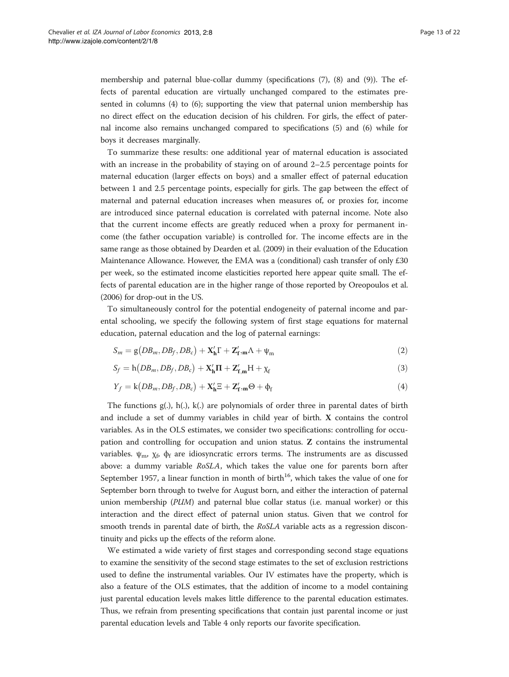membership and paternal blue-collar dummy (specifications (7), (8) and (9)). The effects of parental education are virtually unchanged compared to the estimates presented in columns (4) to (6); supporting the view that paternal union membership has no direct effect on the education decision of his children. For girls, the effect of paternal income also remains unchanged compared to specifications (5) and (6) while for boys it decreases marginally.

To summarize these results: one additional year of maternal education is associated with an increase in the probability of staying on of around 2–2.5 percentage points for maternal education (larger effects on boys) and a smaller effect of paternal education between 1 and 2.5 percentage points, especially for girls. The gap between the effect of maternal and paternal education increases when measures of, or proxies for, income are introduced since paternal education is correlated with paternal income. Note also that the current income effects are greatly reduced when a proxy for permanent income (the father occupation variable) is controlled for. The income effects are in the same range as those obtained by Dearden et al. [\(2009](#page-20-0)) in their evaluation of the Education Maintenance Allowance. However, the EMA was a (conditional) cash transfer of only  $£30$ per week, so the estimated income elasticities reported here appear quite small. The effects of parental education are in the higher range of those reported by Oreopoulos et al. ([2006\)](#page-21-0) for drop-out in the US.

To simultaneously control for the potential endogeneity of paternal income and parental schooling, we specify the following system of first stage equations for maternal education, paternal education and the log of paternal earnings:

$$
S_m = g\big(DB_m, DB_f, DB_c\big) + \mathbf{X_h'}\Gamma + \mathbf{Z_f'}\cdot \mathbf{m}\Lambda + \psi_m
$$
\n<sup>(2)</sup>

$$
S_f = h\big(DB_m, DB_f, DB_c\big) + \mathbf{X_h'}\mathbf{\Pi} + \mathbf{Z_{f,m}'}H + \chi_f
$$
\n<sup>(3)</sup>

$$
Y_f = k\big(DB_m, DB_f, DB_c\big) + \mathbf{X_h'} \mathbf{E} + \mathbf{Z_f'} \mathbf{m} \Theta + \phi_f \tag{4}
$$

The functions  $g(.)$ ,  $h(.)$ ,  $k(.)$  are polynomials of order three in parental dates of birth and include a set of dummy variables in child year of birth. X contains the control variables. As in the OLS estimates, we consider two specifications: controlling for occupation and controlling for occupation and union status. Z contains the instrumental variables.  $ψ_{\rm m}$ ,  $χ_{\rm b}$   $φ_{\rm f}$  are idiosyncratic errors terms. The instruments are as discussed above: a dummy variable RoSLA, which takes the value one for parents born after September 1957, a linear function in month of birth<sup>16</sup>, which takes the value of one for September born through to twelve for August born, and either the interaction of paternal union membership (PUM) and paternal blue collar status (i.e. manual worker) or this interaction and the direct effect of paternal union status. Given that we control for smooth trends in parental date of birth, the RoSLA variable acts as a regression discontinuity and picks up the effects of the reform alone.

We estimated a wide variety of first stages and corresponding second stage equations to examine the sensitivity of the second stage estimates to the set of exclusion restrictions used to define the instrumental variables. Our IV estimates have the property, which is also a feature of the OLS estimates, that the addition of income to a model containing just parental education levels makes little difference to the parental education estimates. Thus, we refrain from presenting specifications that contain just parental income or just parental education levels and Table [4](#page-13-0) only reports our favorite specification.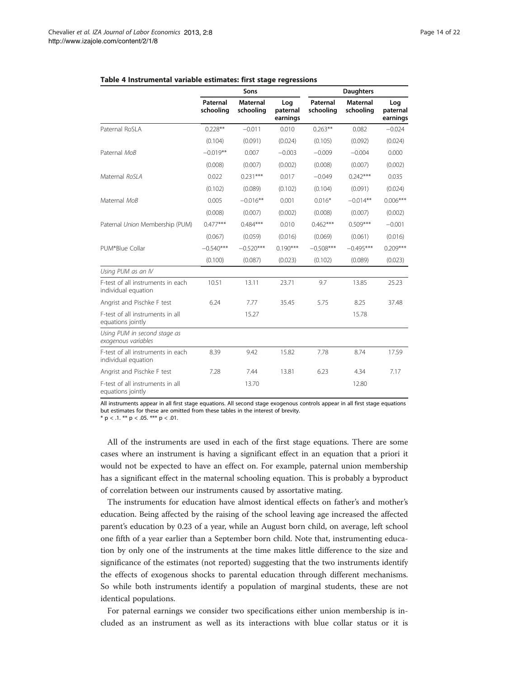|                                                          |                       | Sons                         |                             | <b>Daughters</b>      |                              |                             |  |
|----------------------------------------------------------|-----------------------|------------------------------|-----------------------------|-----------------------|------------------------------|-----------------------------|--|
|                                                          | Paternal<br>schooling | <b>Maternal</b><br>schooling | Log<br>paternal<br>earnings | Paternal<br>schooling | <b>Maternal</b><br>schooling | Log<br>paternal<br>earnings |  |
| Paternal RoSLA                                           | $0.228**$             | $-0.011$                     | 0.010                       | $0.263**$             | 0.082                        | $-0.024$                    |  |
|                                                          | (0.104)               | (0.091)                      | (0.024)                     | (0.105)               | (0.092)                      | (0.024)                     |  |
| Paternal MoB                                             | $-0.019**$            | 0.007                        | $-0.003$                    | $-0.009$              | $-0.004$                     | 0.000                       |  |
|                                                          | (0.008)               | (0.007)                      | (0.002)                     | (0.008)               | (0.007)                      | (0.002)                     |  |
| Maternal RoSLA                                           | 0.022                 | $0.231***$                   | 0.017                       | $-0.049$              | $0.242***$                   | 0.035                       |  |
|                                                          | (0.102)               | (0.089)                      | (0.102)                     | (0.104)               | (0.091)                      | (0.024)                     |  |
| Maternal MoB                                             | 0.005                 | $-0.016**$                   | 0.001                       | $0.016*$              | $-0.014**$                   | $0.006***$                  |  |
|                                                          | (0.008)               | (0.007)                      | (0.002)                     | (0.008)               | (0.007)                      | (0.002)                     |  |
| Paternal Union Membership (PUM)                          | $0.477***$            | $0.484***$                   | 0.010                       | $0.462***$            | $0.509***$                   | $-0.001$                    |  |
|                                                          | (0.067)               | (0.059)                      | (0.016)                     | (0.069)               | (0.061)                      | (0.016)                     |  |
| PUM*Blue Collar                                          | $-0.540***$           | $-0.520***$                  | $0.190***$                  | $-0.508***$           | $-0.495***$                  | $0.209***$                  |  |
|                                                          | (0.100)               | (0.087)                      | (0.023)                     | (0.102)               | (0.089)                      | (0.023)                     |  |
| Using PUM as an IV                                       |                       |                              |                             |                       |                              |                             |  |
| F-test of all instruments in each<br>individual equation | 10.51                 | 13.11                        | 23.71                       | 9.7                   | 13.85                        | 25.23                       |  |
| Angrist and Pischke F test                               | 6.24                  | 7.77                         | 35.45                       | 5.75                  | 8.25                         | 37.48                       |  |
| F-test of all instruments in all<br>equations jointly    |                       | 15.27                        |                             |                       | 15.78                        |                             |  |
| Using PUM in second stage as<br>exogenous variables      |                       |                              |                             |                       |                              |                             |  |
| F-test of all instruments in each<br>individual equation | 8.39                  | 9.42                         | 15.82                       | 7.78                  | 8.74                         | 17.59                       |  |
| Angrist and Pischke F test                               | 7.28                  | 7.44                         | 13.81                       | 6.23                  | 4.34                         | 7.17                        |  |
| F-test of all instruments in all<br>equations jointly    |                       | 13.70                        |                             |                       | 12.80                        |                             |  |

<span id="page-13-0"></span>

|  |  |  |  |  | Table 4 Instrumental variable estimates: first stage regressions |  |  |  |  |  |  |  |  |  |  |  |
|--|--|--|--|--|------------------------------------------------------------------|--|--|--|--|--|--|--|--|--|--|--|
|--|--|--|--|--|------------------------------------------------------------------|--|--|--|--|--|--|--|--|--|--|--|

All instruments appear in all first stage equations. All second stage exogenous controls appear in all first stage equations but estimates for these are omitted from these tables in the interest of brevity.

\* p <  $.1.$  \*\* p <  $.05.$  \*\*\* p <  $.01.$ 

All of the instruments are used in each of the first stage equations. There are some cases where an instrument is having a significant effect in an equation that a priori it would not be expected to have an effect on. For example, paternal union membership has a significant effect in the maternal schooling equation. This is probably a byproduct of correlation between our instruments caused by assortative mating.

The instruments for education have almost identical effects on father's and mother's education. Being affected by the raising of the school leaving age increased the affected parent's education by 0.23 of a year, while an August born child, on average, left school one fifth of a year earlier than a September born child. Note that, instrumenting education by only one of the instruments at the time makes little difference to the size and significance of the estimates (not reported) suggesting that the two instruments identify the effects of exogenous shocks to parental education through different mechanisms. So while both instruments identify a population of marginal students, these are not identical populations.

For paternal earnings we consider two specifications either union membership is included as an instrument as well as its interactions with blue collar status or it is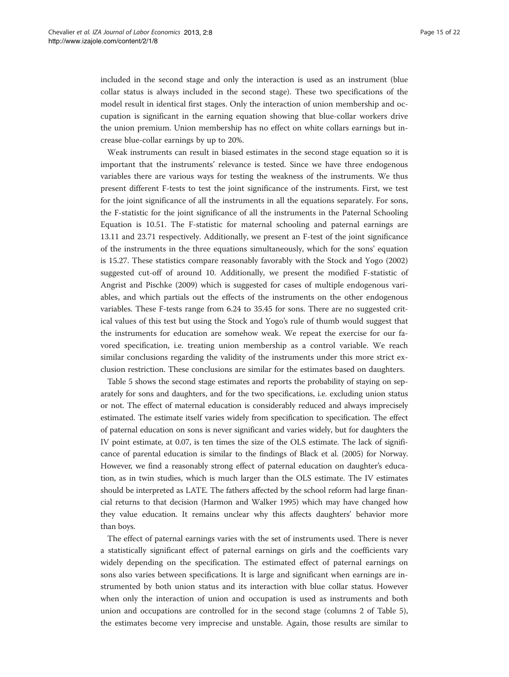included in the second stage and only the interaction is used as an instrument (blue collar status is always included in the second stage). These two specifications of the model result in identical first stages. Only the interaction of union membership and occupation is significant in the earning equation showing that blue-collar workers drive the union premium. Union membership has no effect on white collars earnings but increase blue-collar earnings by up to 20%.

Weak instruments can result in biased estimates in the second stage equation so it is important that the instruments' relevance is tested. Since we have three endogenous variables there are various ways for testing the weakness of the instruments. We thus present different F-tests to test the joint significance of the instruments. First, we test for the joint significance of all the instruments in all the equations separately. For sons, the F-statistic for the joint significance of all the instruments in the Paternal Schooling Equation is 10.51. The F-statistic for maternal schooling and paternal earnings are 13.11 and 23.71 respectively. Additionally, we present an F-test of the joint significance of the instruments in the three equations simultaneously, which for the sons' equation is 15.27. These statistics compare reasonably favorably with the Stock and Yogo ([2002](#page-21-0)) suggested cut-off of around 10. Additionally, we present the modified F-statistic of Angrist and Pischke [\(2009\)](#page-20-0) which is suggested for cases of multiple endogenous variables, and which partials out the effects of the instruments on the other endogenous variables. These F-tests range from 6.24 to 35.45 for sons. There are no suggested critical values of this test but using the Stock and Yogo's rule of thumb would suggest that the instruments for education are somehow weak. We repeat the exercise for our favored specification, i.e. treating union membership as a control variable. We reach similar conclusions regarding the validity of the instruments under this more strict exclusion restriction. These conclusions are similar for the estimates based on daughters.

Table [5](#page-15-0) shows the second stage estimates and reports the probability of staying on separately for sons and daughters, and for the two specifications, i.e. excluding union status or not. The effect of maternal education is considerably reduced and always imprecisely estimated. The estimate itself varies widely from specification to specification. The effect of paternal education on sons is never significant and varies widely, but for daughters the IV point estimate, at 0.07, is ten times the size of the OLS estimate. The lack of significance of parental education is similar to the findings of Black et al. ([2005](#page-20-0)) for Norway. However, we find a reasonably strong effect of paternal education on daughter's education, as in twin studies, which is much larger than the OLS estimate. The IV estimates should be interpreted as LATE. The fathers affected by the school reform had large financial returns to that decision (Harmon and Walker [1995\)](#page-20-0) which may have changed how they value education. It remains unclear why this affects daughters' behavior more than boys.

The effect of paternal earnings varies with the set of instruments used. There is never a statistically significant effect of paternal earnings on girls and the coefficients vary widely depending on the specification. The estimated effect of paternal earnings on sons also varies between specifications. It is large and significant when earnings are instrumented by both union status and its interaction with blue collar status. However when only the interaction of union and occupation is used as instruments and both union and occupations are controlled for in the second stage (columns 2 of Table [5](#page-15-0)), the estimates become very imprecise and unstable. Again, those results are similar to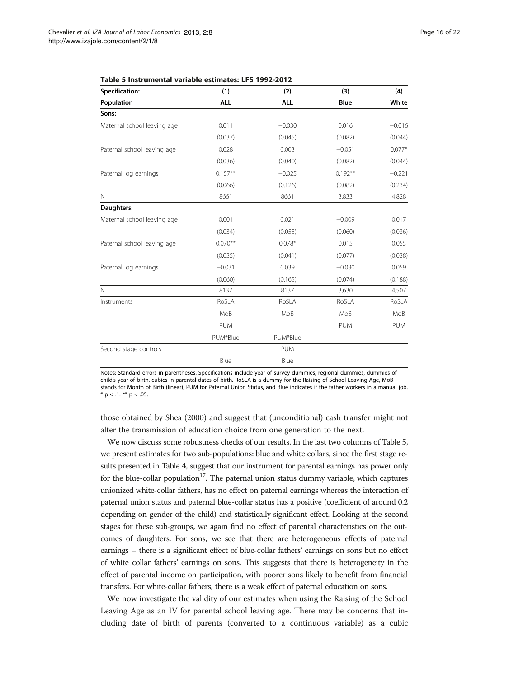| <b>Specification:</b>       | (1)        | (2)        | (3)        | (4)        |
|-----------------------------|------------|------------|------------|------------|
| Population                  | <b>ALL</b> | <b>ALL</b> | Blue       | White      |
| Sons:                       |            |            |            |            |
| Maternal school leaving age | 0.011      | $-0.030$   | 0.016      | $-0.016$   |
|                             | (0.037)    | (0.045)    | (0.082)    | (0.044)    |
| Paternal school leaving age | 0.028      | 0.003      | $-0.051$   | $0.077*$   |
|                             | (0.036)    | (0.040)    | (0.082)    | (0.044)    |
| Paternal log earnings       | $0.157**$  | $-0.025$   | $0.192**$  | $-0.221$   |
|                             | (0.066)    | (0.126)    | (0.082)    | (0.234)    |
| N                           | 8661       | 8661       | 3,833      | 4,828      |
| Daughters:                  |            |            |            |            |
| Maternal school leaving age | 0.001      | 0.021      | $-0.009$   | 0.017      |
|                             | (0.034)    | (0.055)    | (0.060)    | (0.036)    |
| Paternal school leaving age | $0.070**$  | $0.078*$   | 0.015      | 0.055      |
|                             | (0.035)    | (0.041)    | (0.077)    | (0.038)    |
| Paternal log earnings       | $-0.031$   | 0.039      | $-0.030$   | 0.059      |
|                             | (0.060)    | (0.165)    | (0.074)    | (0.188)    |
| $\mathsf{N}$                | 8137       | 8137       | 3,630      | 4,507      |
| Instruments                 | RoSLA      | RoSLA      | RoSLA      | RoSLA      |
|                             | MoB        | MoB        | MoB        | MoB        |
|                             | <b>PUM</b> |            | <b>PUM</b> | <b>PUM</b> |
|                             | PUM*Blue   | PUM*Blue   |            |            |
| Second stage controls       |            | <b>PUM</b> |            |            |
|                             | Blue       | Blue       |            |            |

<span id="page-15-0"></span>Table 5 Instrumental variable estimates: LFS 1992-2012

Notes: Standard errors in parentheses. Specifications include year of survey dummies, regional dummies, dummies of child's year of birth, cubics in parental dates of birth. RoSLA is a dummy for the Raising of School Leaving Age, MoB stands for Month of Birth (linear), PUM for Paternal Union Status, and Blue indicates if the father workers in a manual job.  $*$  p < .1.  $**$  p < .05.

those obtained by Shea ([2000\)](#page-21-0) and suggest that (unconditional) cash transfer might not alter the transmission of education choice from one generation to the next.

We now discuss some robustness checks of our results. In the last two columns of Table 5, we present estimates for two sub-populations: blue and white collars, since the first stage results presented in Table [4,](#page-13-0) suggest that our instrument for parental earnings has power only for the blue-collar population<sup>17</sup>. The paternal union status dummy variable, which captures unionized white-collar fathers, has no effect on paternal earnings whereas the interaction of paternal union status and paternal blue-collar status has a positive (coefficient of around 0.2 depending on gender of the child) and statistically significant effect. Looking at the second stages for these sub-groups, we again find no effect of parental characteristics on the outcomes of daughters. For sons, we see that there are heterogeneous effects of paternal earnings – there is a significant effect of blue-collar fathers' earnings on sons but no effect of white collar fathers' earnings on sons. This suggests that there is heterogeneity in the effect of parental income on participation, with poorer sons likely to benefit from financial transfers. For white-collar fathers, there is a weak effect of paternal education on sons.

We now investigate the validity of our estimates when using the Raising of the School Leaving Age as an IV for parental school leaving age. There may be concerns that including date of birth of parents (converted to a continuous variable) as a cubic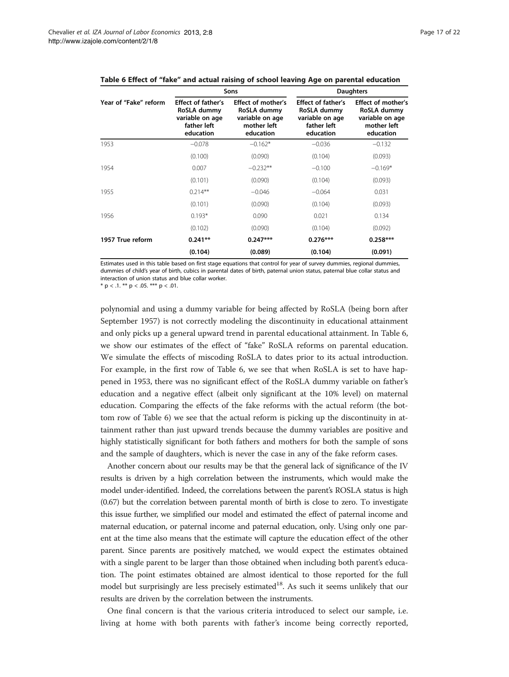|                       |                                                                                         | Sons                                                                                    | <b>Daughters</b>                                                                        |                                                                                         |  |  |
|-----------------------|-----------------------------------------------------------------------------------------|-----------------------------------------------------------------------------------------|-----------------------------------------------------------------------------------------|-----------------------------------------------------------------------------------------|--|--|
| Year of "Fake" reform | <b>Effect of father's</b><br>RoSLA dummy<br>variable on age<br>father left<br>education | <b>Effect of mother's</b><br>RoSLA dummy<br>variable on age<br>mother left<br>education | <b>Effect of father's</b><br>RoSLA dummy<br>variable on age<br>father left<br>education | <b>Effect of mother's</b><br>RoSLA dummy<br>variable on age<br>mother left<br>education |  |  |
| 1953                  | $-0.078$                                                                                | $-0.162*$                                                                               | $-0.036$                                                                                | $-0.132$                                                                                |  |  |
|                       | (0.100)                                                                                 | (0.090)                                                                                 | (0.104)                                                                                 | (0.093)                                                                                 |  |  |
| 1954                  | 0.007                                                                                   | $-0.232**$                                                                              | $-0.100$                                                                                | $-0.169*$                                                                               |  |  |
|                       | (0.101)                                                                                 | (0.090)                                                                                 | (0.104)                                                                                 | (0.093)                                                                                 |  |  |
| 1955                  | $0.214**$                                                                               | $-0.046$                                                                                | $-0.064$                                                                                | 0.031                                                                                   |  |  |
|                       | (0.101)                                                                                 | (0.090)                                                                                 | (0.104)                                                                                 | (0.093)                                                                                 |  |  |
| 1956                  | $0.193*$                                                                                | 0.090                                                                                   | 0.021                                                                                   | 0.134                                                                                   |  |  |
|                       | (0.102)                                                                                 | (0.090)                                                                                 | (0.104)                                                                                 | (0.092)                                                                                 |  |  |
| 1957 True reform      | $0.241**$                                                                               | $0.247***$                                                                              | $0.276***$                                                                              | $0.258***$                                                                              |  |  |
|                       | (0.104)                                                                                 | (0.089)                                                                                 | (0.104)                                                                                 | (0.091)                                                                                 |  |  |

Table 6 Effect of "fake" and actual raising of school leaving Age on parental education

Estimates used in this table based on first stage equations that control for year of survey dummies, regional dummies, dummies of child's year of birth, cubics in parental dates of birth, paternal union status, paternal blue collar status and interaction of union status and blue collar worker.

 $*$  p < .1.  $**$  p < .05.  $***$  p < .01.

polynomial and using a dummy variable for being affected by RoSLA (being born after September 1957) is not correctly modeling the discontinuity in educational attainment and only picks up a general upward trend in parental educational attainment. In Table 6, we show our estimates of the effect of "fake" RoSLA reforms on parental education. We simulate the effects of miscoding RoSLA to dates prior to its actual introduction. For example, in the first row of Table 6, we see that when RoSLA is set to have happened in 1953, there was no significant effect of the RoSLA dummy variable on father's education and a negative effect (albeit only significant at the 10% level) on maternal education. Comparing the effects of the fake reforms with the actual reform (the bottom row of Table 6) we see that the actual reform is picking up the discontinuity in attainment rather than just upward trends because the dummy variables are positive and highly statistically significant for both fathers and mothers for both the sample of sons and the sample of daughters, which is never the case in any of the fake reform cases.

Another concern about our results may be that the general lack of significance of the IV results is driven by a high correlation between the instruments, which would make the model under-identified. Indeed, the correlations between the parent's ROSLA status is high (0.67) but the correlation between parental month of birth is close to zero. To investigate this issue further, we simplified our model and estimated the effect of paternal income and maternal education, or paternal income and paternal education, only. Using only one parent at the time also means that the estimate will capture the education effect of the other parent. Since parents are positively matched, we would expect the estimates obtained with a single parent to be larger than those obtained when including both parent's education. The point estimates obtained are almost identical to those reported for the full model but surprisingly are less precisely estimated<sup>18</sup>. As such it seems unlikely that our results are driven by the correlation between the instruments.

One final concern is that the various criteria introduced to select our sample, i.e. living at home with both parents with father's income being correctly reported,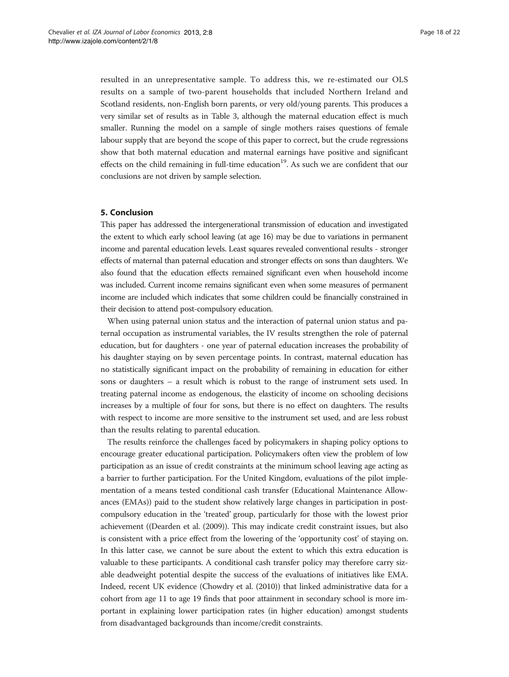resulted in an unrepresentative sample. To address this, we re-estimated our OLS results on a sample of two-parent households that included Northern Ireland and Scotland residents, non-English born parents, or very old/young parents. This produces a very similar set of results as in Table [3](#page-11-0), although the maternal education effect is much smaller. Running the model on a sample of single mothers raises questions of female labour supply that are beyond the scope of this paper to correct, but the crude regressions show that both maternal education and maternal earnings have positive and significant effects on the child remaining in full-time education<sup>19</sup>. As such we are confident that our conclusions are not driven by sample selection.

#### 5. Conclusion

This paper has addressed the intergenerational transmission of education and investigated the extent to which early school leaving (at age 16) may be due to variations in permanent income and parental education levels. Least squares revealed conventional results - stronger effects of maternal than paternal education and stronger effects on sons than daughters. We also found that the education effects remained significant even when household income was included. Current income remains significant even when some measures of permanent income are included which indicates that some children could be financially constrained in their decision to attend post-compulsory education.

When using paternal union status and the interaction of paternal union status and paternal occupation as instrumental variables, the IV results strengthen the role of paternal education, but for daughters - one year of paternal education increases the probability of his daughter staying on by seven percentage points. In contrast, maternal education has no statistically significant impact on the probability of remaining in education for either sons or daughters – a result which is robust to the range of instrument sets used. In treating paternal income as endogenous, the elasticity of income on schooling decisions increases by a multiple of four for sons, but there is no effect on daughters. The results with respect to income are more sensitive to the instrument set used, and are less robust than the results relating to parental education.

The results reinforce the challenges faced by policymakers in shaping policy options to encourage greater educational participation. Policymakers often view the problem of low participation as an issue of credit constraints at the minimum school leaving age acting as a barrier to further participation. For the United Kingdom, evaluations of the pilot implementation of a means tested conditional cash transfer (Educational Maintenance Allowances (EMAs)) paid to the student show relatively large changes in participation in postcompulsory education in the 'treated' group, particularly for those with the lowest prior achievement ((Dearden et al. ([2009\)](#page-20-0)). This may indicate credit constraint issues, but also is consistent with a price effect from the lowering of the 'opportunity cost' of staying on. In this latter case, we cannot be sure about the extent to which this extra education is valuable to these participants. A conditional cash transfer policy may therefore carry sizable deadweight potential despite the success of the evaluations of initiatives like EMA. Indeed, recent UK evidence (Chowdry et al. ([2010\)](#page-20-0)) that linked administrative data for a cohort from age 11 to age 19 finds that poor attainment in secondary school is more important in explaining lower participation rates (in higher education) amongst students from disadvantaged backgrounds than income/credit constraints.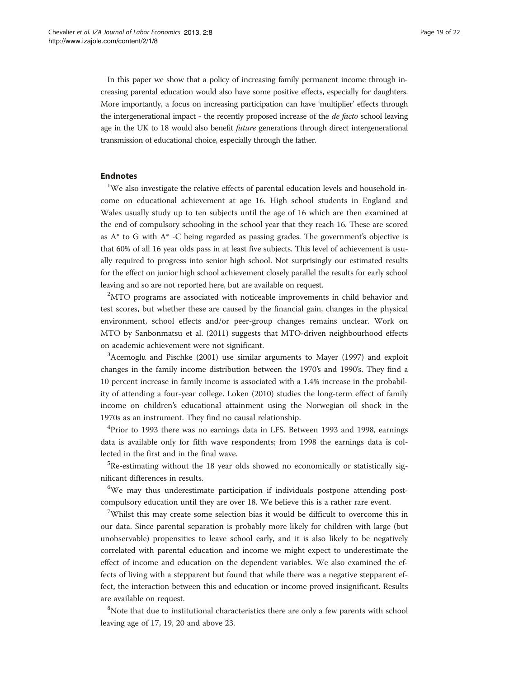In this paper we show that a policy of increasing family permanent income through increasing parental education would also have some positive effects, especially for daughters. More importantly, a focus on increasing participation can have 'multiplier' effects through the intergenerational impact - the recently proposed increase of the de facto school leaving age in the UK to 18 would also benefit future generations through direct intergenerational transmission of educational choice, especially through the father.

#### Endnotes

<sup>1</sup>We also investigate the relative effects of parental education levels and household income on educational achievement at age 16. High school students in England and Wales usually study up to ten subjects until the age of 16 which are then examined at the end of compulsory schooling in the school year that they reach 16. These are scored as  $A^*$  to G with  $A^*$  -C being regarded as passing grades. The government's objective is that 60% of all 16 year olds pass in at least five subjects. This level of achievement is usually required to progress into senior high school. Not surprisingly our estimated results for the effect on junior high school achievement closely parallel the results for early school leaving and so are not reported here, but are available on request.

 $2$ MTO programs are associated with noticeable improvements in child behavior and test scores, but whether these are caused by the financial gain, changes in the physical environment, school effects and/or peer-group changes remains unclear. Work on MTO by Sanbonmatsu et al. ([2011](#page-21-0)) suggests that MTO-driven neighbourhood effects on academic achievement were not significant.

<sup>3</sup>Acemoglu and Pischke ([2001\)](#page-20-0) use similar arguments to Mayer [\(1997\)](#page-21-0) and exploit changes in the family income distribution between the 1970's and 1990's. They find a 10 percent increase in family income is associated with a 1.4% increase in the probability of attending a four-year college. Loken ([2010](#page-21-0)) studies the long-term effect of family income on children's educational attainment using the Norwegian oil shock in the 1970s as an instrument. They find no causal relationship.

<sup>4</sup>Prior to 1993 there was no earnings data in LFS. Between 1993 and 1998, earnings data is available only for fifth wave respondents; from 1998 the earnings data is collected in the first and in the final wave.

<sup>5</sup>Re-estimating without the 18 year olds showed no economically or statistically significant differences in results.

<sup>6</sup>We may thus underestimate participation if individuals postpone attending postcompulsory education until they are over 18. We believe this is a rather rare event.

<sup>7</sup>Whilst this may create some selection bias it would be difficult to overcome this in our data. Since parental separation is probably more likely for children with large (but unobservable) propensities to leave school early, and it is also likely to be negatively correlated with parental education and income we might expect to underestimate the effect of income and education on the dependent variables. We also examined the effects of living with a stepparent but found that while there was a negative stepparent effect, the interaction between this and education or income proved insignificant. Results are available on request.

<sup>8</sup>Note that due to institutional characteristics there are only a few parents with school leaving age of 17, 19, 20 and above 23.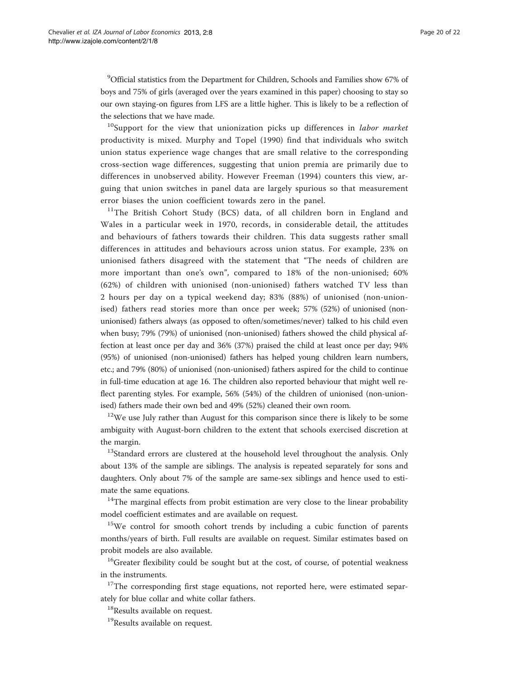<sup>9</sup>Official statistics from the Department for Children, Schools and Families show 67% of boys and 75% of girls (averaged over the years examined in this paper) choosing to stay so our own staying-on figures from LFS are a little higher. This is likely to be a reflection of the selections that we have made.

 $10$ Support for the view that unionization picks up differences in *labor market* productivity is mixed. Murphy and Topel ([1990](#page-21-0)) find that individuals who switch union status experience wage changes that are small relative to the corresponding cross-section wage differences, suggesting that union premia are primarily due to differences in unobserved ability. However Freeman ([1994](#page-20-0)) counters this view, arguing that union switches in panel data are largely spurious so that measurement error biases the union coefficient towards zero in the panel.

<sup>11</sup>The British Cohort Study (BCS) data, of all children born in England and Wales in a particular week in 1970, records, in considerable detail, the attitudes and behaviours of fathers towards their children. This data suggests rather small differences in attitudes and behaviours across union status. For example, 23% on unionised fathers disagreed with the statement that "The needs of children are more important than one's own", compared to 18% of the non-unionised; 60% (62%) of children with unionised (non-unionised) fathers watched TV less than 2 hours per day on a typical weekend day; 83% (88%) of unionised (non-unionised) fathers read stories more than once per week; 57% (52%) of unionised (nonunionised) fathers always (as opposed to often/sometimes/never) talked to his child even when busy; 79% (79%) of unionised (non-unionised) fathers showed the child physical affection at least once per day and 36% (37%) praised the child at least once per day; 94% (95%) of unionised (non-unionised) fathers has helped young children learn numbers, etc.; and 79% (80%) of unionised (non-unionised) fathers aspired for the child to continue in full-time education at age 16. The children also reported behaviour that might well reflect parenting styles. For example, 56% (54%) of the children of unionised (non-unionised) fathers made their own bed and 49% (52%) cleaned their own room.

 $12$ We use July rather than August for this comparison since there is likely to be some ambiguity with August-born children to the extent that schools exercised discretion at the margin.

<sup>13</sup>Standard errors are clustered at the household level throughout the analysis. Only about 13% of the sample are siblings. The analysis is repeated separately for sons and daughters. Only about 7% of the sample are same-sex siblings and hence used to estimate the same equations.

 $14$ The marginal effects from probit estimation are very close to the linear probability model coefficient estimates and are available on request.

<sup>15</sup>We control for smooth cohort trends by including a cubic function of parents months/years of birth. Full results are available on request. Similar estimates based on probit models are also available.

 $16$ Greater flexibility could be sought but at the cost, of course, of potential weakness in the instruments.

<sup>17</sup>The corresponding first stage equations, not reported here, were estimated separately for blue collar and white collar fathers.

<sup>18</sup>Results available on request.

<sup>19</sup>Results available on request.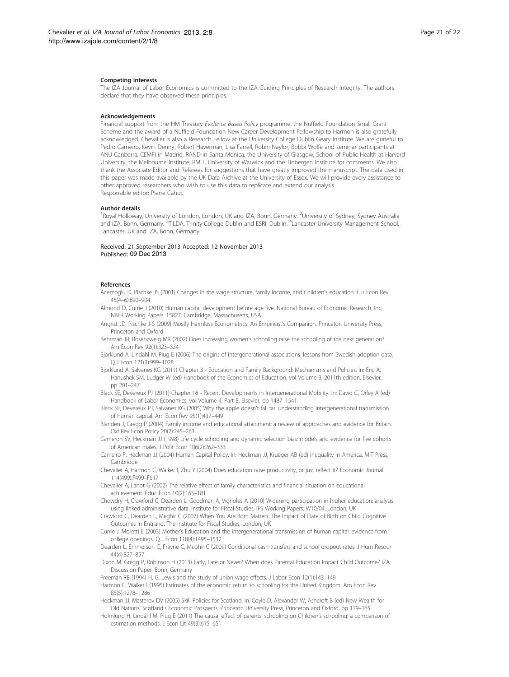#### <span id="page-20-0"></span>Competing interests

The IZA Journal of Labor Economics is committed to the IZA Guiding Principles of Research Integrity. The authors declare that they have observed these principles.

#### Acknowledgements

Financial support from the HM Treasury Evidence Based Policy programme, the Nuffield Foundation Small Grant Scheme and the award of a Nuffield Foundation New Career Development Fellowship to Harmon is also gratefully acknowledged. Chevalier is also a Research Fellow at the University College Dublin Geary Institute. We are grateful to Pedro Carneiro, Kevin Denny, Robert Haverman, Lisa Farrell, Robin Naylor, Bobbi Wolfe and seminar participants at ANU Canberra, CEMFI in Madrid, RAND in Santa Monica, the University of Glasgow, School of Public Health at Harvard University, the Melbourne Institute, RMIT, University of Warwick and the Tinbergen Institute for comments. We also thank the Associate Editor and Referees for suggestions that have greatly improved the manuscript. The data used in this paper was made available by the UK Data Archive at the University of Essex. We will provide every assistance to other approved researchers who wish to use this data to replicate and extend our analysis. Responsible editor: Pierre Cahuc.

#### Author details

<sup>1</sup>Royal Holloway, University of London, London, UK and IZA, Bonn, Germany. <sup>2</sup>University of Sydney, Sydney Australia and IZA, Bonn, Germany. <sup>3</sup>TILDA, Trinity College Dublin and ESRI, Dublin. <sup>4</sup>Lancaster University Management School, Lancaster, UK and IZA, Bonn, Germany.

Received: 21 September 2013 Accepted: 12 November 2013 Published: 09 Dec 2013

#### References

- Acemoglu D, Pischke JS (2001) Changes in the wage structure, family income, and Children's education. Eur Econ Rev 45(4–6):890–904
- Almond D, Currie J (2010) Human capital development before age five. National Bureau of Economic Research, Inc, NBER Working Papers. 15827, Cambridge, Massachusetts, USA
- Angrist JD, Pischke J-S (2009) Mostly Harmless Econometrics: An Empiricist's Companion. Princeton University Press, Princeton and Oxford
- Behrman JR, Rosenzweig MR (2002) Does increasing women's schooling raise the schooling of the next generation? Am Econ Rev 92(1):323–334
- Bjorklund A, Lindahl M, Plug E (2006) The origins of intergenerational associations: lessons from Swedish adoption data. Q J Econ 121(3):999–1028
- Björklund A, Salvanes KG (2011) Chapter 3 Education and Family Background: Mechanisms and Policies. In: Eric A, Hanushek SM, Ludger W (ed) Handbook of the Economics of Education, vol Volume 3, 2011th edition. Elsevier, pp 201–247
- Black SE, Devereux PJ (2011) Chapter 16 Recent Developments in Intergenerational Mobility. In: David C, Orley A (ed) Handbook of Labor Economics, vol Volume 4, Part B. Elsevier, pp 1487–1541
- Black SE, Devereux PJ, Salvanes KG (2005) Why the apple doesn't fall far: understanding intergenerational transmission of human capital. Am Econ Rev 95(1):437–449
- Blanden J, Gregg P (2004) Family income and educational attainment: a review of approaches and evidence for Britain. Oxf Rev Econ Policy 20(2):245–263
- Cameron SV, Heckman JJ (1998) Life cycle schooling and dynamic selection bias: models and evidence for five cohorts of American males. J Polit Econ 106(2):262–333
- Carneiro P, Heckman JJ (2004) Human Capital Policy. In: Heckman JJ, Krueger AB (ed) Inequality in America. MIT Press, Cambridge
- Chevalier A, Harmon C, Walker I, Zhu Y (2004) Does education raise productivity, or just reflect it? Economic Journal 114(499):F499–F517
- Chevalier A, Lanot G (2002) The relative effect of family characteristics and financial situation on educational achievement. Educ Econ 10(2):165–181
- Chowdry H, Crawford C, Dearden L, Goodman A, Vignoles A (2010) Widening participation in higher education: analysis using linked administrative data. Institute for Fiscal Studies, IFS Working Papers: W10/04, London, UK
- Crawford C, Dearden L, Meghir C (2007) When You Are Born Matters. The Impact of Date of Birth on Child Cognitive Outcomes In England. The Institute for Fiscal Studies, London, UK
- Currie J, Moretti E (2003) Mother's Education and the intergenerational transmission of human capital: evidence from college openings. Q J Econ 118(4):1495–1532
- Dearden L, Emmerson C, Frayne C, Meghir C (2009) Conditional cash transfers and school dropout rates. J Hum Resour 44(4):827–857
- Dixon M, Gregg P, Robinson H (2013) Early, Late or Never? When does Parental Education Impact Child Outcome? IZA Discussion Paper, Bonn, Germany
- Freeman RB (1994) H. G. Lewis and the study of union wage effects. J Labor Econ 12(1):143–149
- Harmon C, Walker I (1995) Estimates of the economic return to schooling for the United Kingdom. Am Econ Rev 85(5):1278–1286
- Heckman JJ, Masterov DV (2005) Skill Policies for Scotland. In: Coyle D, Alexander W, Ashcroft B (ed) New Wealth for Old Nations: Scotland's Economic Prospects. Princeton University Press, Princeton and Oxford, pp 119–165
- Holmlund H, Lindahl M, Plug E (2011) The causal effect of parents' schooling on Children's schooling: a comparison of estimation methods. J Econ Lit 49(3):615–651